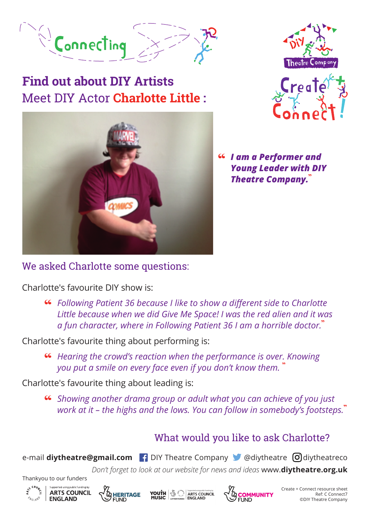

# Meet DIY Actor **Charlotte Little : Find out about DIY Artists**







"  *I am a Performer and Young Leader with DIY Theatre Company.*"

#### We asked Charlotte some questions:

Charlotte's favourite DIY show is:

**Co** Following Patient 36 because I like to show a different side to Charlotte<br>Little because when we did Give Me Space! I was the red alien and it was *a fun character, where in Following Patient 36 I am a horrible doctor.*"

Charlotte's favourite thing about performing is:

"  *Hearing the crowd's reaction when the performance is over. Knowing you put a smile on every face even if you don't know them.* "

Charlotte's favourite thing about leading is:

"  *Showing another drama group or adult what you can achieve of you just work at it – the highs and the lows. You can follow in somebody's footsteps.*"

### What would you like to ask Charlotte?

e-mail **diytheatre@gmail.com P** DIY Theatre Company **C** @diytheatre **d** diytheatreco

*Don't forget to look at our website for news and ideas* www.**diytheatre.org.uk**





Thankyou to our funders